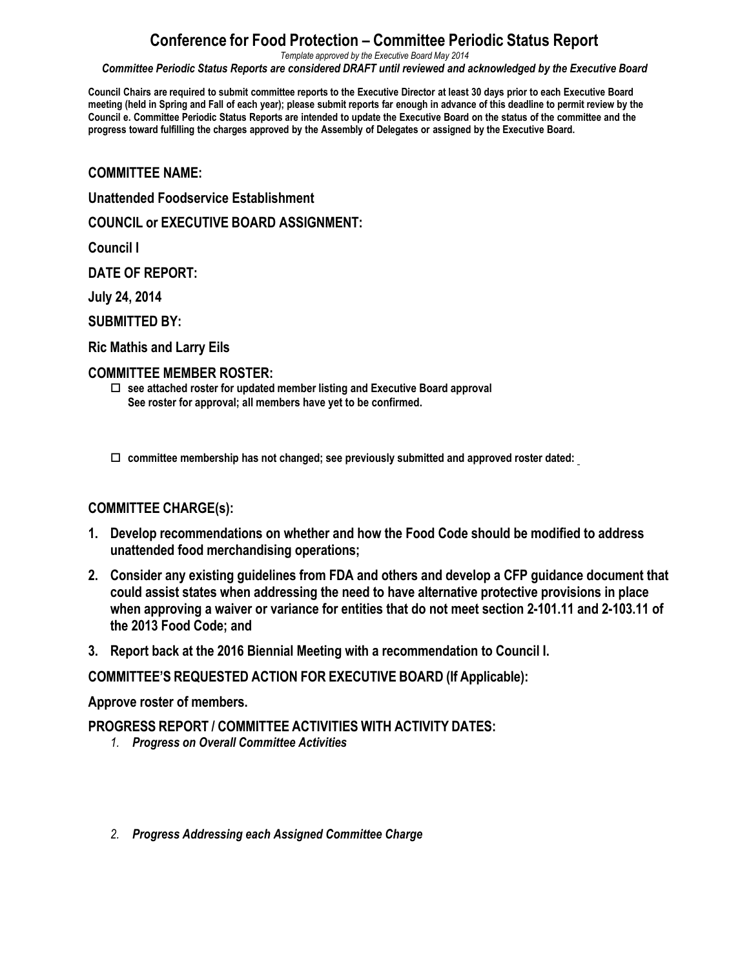# **Conference for Food Protection – Committee Periodic Status Report**

*Template approved by the Executive Board May 2014*

*Committee Periodic Status Reports are considered DRAFT until reviewed and acknowledged by the Executive Board*

Council Chairs are required to submit committee reports to the Executive Director at least 30 days prior to each Executive Board meeting (held in Spring and Fall of each year); please submit reports far enough in advance of this deadline to permit review by the Council e. Committee Periodic Status Reports are intended to update the Executive Board on the status of the committee and the **progress toward fulfilling the charges approved by the Assembly of Delegates or assigned by the Executive Board.**

**COMMITTEE NAME:**

**Unattended Foodservice Establishment**

**COUNCIL or EXECUTIVE BOARD ASSIGNMENT:**

**Council I**

**DATE OF REPORT:**

**July 24, 2014**

**SUBMITTED BY:**

**Ric Mathis and Larry Eils**

#### **COMMITTEE MEMBER ROSTER:**

o **see attached roster for updated member listing and Executive Board approval See roster for approval; all members have yet to be confirmed.**

o **committee membership has not changed; see previously submitted and approved roster dated:** 

### **COMMITTEE CHARGE(s):**

- **1. Develop recommendations on whether and how the Food Code should be modified to address unattended food merchandising operations;**
- **2. Consider any existing guidelines from FDA and others and develop a CFP guidance document that could assist states when addressing the need to have alternative protective provisions in place when approving a waiver or variance for entities that do not meet section 2-101.11 and 2-103.11 of the 2013 Food Code; and**
- **3. Report back at the 2016 Biennial Meeting with a recommendation to Council I.**

**COMMITTEE'S REQUESTED ACTION FOR EXECUTIVE BOARD (If Applicable):**

### **Approve roster of members.**

**PROGRESS REPORT / COMMITTEE ACTIVITIES WITH ACTIVITY DATES:**

- *1. Progress on Overall Committee Activities*
- *2. Progress Addressing each Assigned Committee Charge*